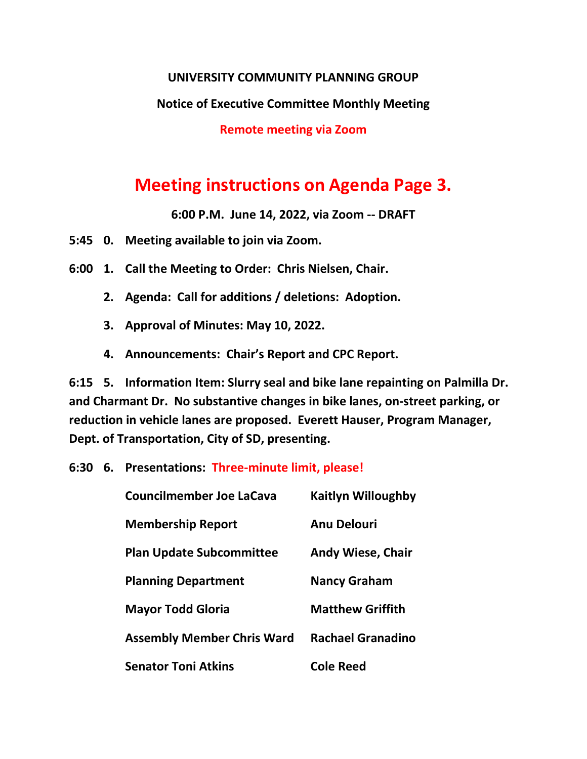## **UNIVERSITY COMMUNITY PLANNING GROUP**

## **Notice of Executive Committee Monthly Meeting**

**Remote meeting via Zoom**

## **Meeting instructions on Agenda Page 3.**

**6:00 P.M. June 14, 2022, via Zoom -- DRAFT**

**5:45 0. Meeting available to join via Zoom.**

- **6:00 1. Call the Meeting to Order: Chris Nielsen, Chair.**
	- **2. Agenda: Call for additions / deletions: Adoption.**
	- **3. Approval of Minutes: May 10, 2022.**
	- **4. Announcements: Chair's Report and CPC Report.**

**6:15 5. Information Item: Slurry seal and bike lane repainting on Palmilla Dr. and Charmant Dr. No substantive changes in bike lanes, on-street parking, or reduction in vehicle lanes are proposed. Everett Hauser, Program Manager, Dept. of Transportation, City of SD, presenting.**

**6:30 6. Presentations: Three-minute limit, please!**

| <b>Councilmember Joe LaCava</b>   | <b>Kaitlyn Willoughby</b> |
|-----------------------------------|---------------------------|
| <b>Membership Report</b>          | <b>Anu Delouri</b>        |
| <b>Plan Update Subcommittee</b>   | <b>Andy Wiese, Chair</b>  |
| <b>Planning Department</b>        | <b>Nancy Graham</b>       |
| <b>Mayor Todd Gloria</b>          | <b>Matthew Griffith</b>   |
| <b>Assembly Member Chris Ward</b> | <b>Rachael Granadino</b>  |
| <b>Senator Toni Atkins</b>        | <b>Cole Reed</b>          |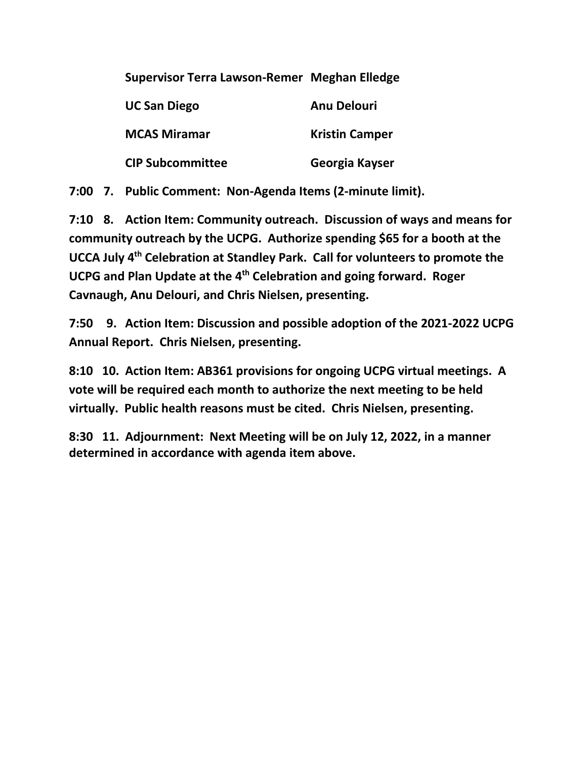|  | Supervisor Terra Lawson-Remer Meghan Elledge |  |
|--|----------------------------------------------|--|
|  |                                              |  |

| <b>UC San Diego</b>     | <b>Anu Delouri</b>    |
|-------------------------|-----------------------|
| <b>MCAS Miramar</b>     | <b>Kristin Camper</b> |
| <b>CIP Subcommittee</b> | Georgia Kayser        |

**7:00 7. Public Comment: Non-Agenda Items (2-minute limit).**

**7:10 8. Action Item: Community outreach. Discussion of ways and means for community outreach by the UCPG. Authorize spending \$65 for a booth at the UCCA July 4th Celebration at Standley Park. Call for volunteers to promote the UCPG and Plan Update at the 4th Celebration and going forward. Roger Cavnaugh, Anu Delouri, and Chris Nielsen, presenting.**

**7:50 9. Action Item: Discussion and possible adoption of the 2021-2022 UCPG Annual Report. Chris Nielsen, presenting.**

**8:10 10. Action Item: AB361 provisions for ongoing UCPG virtual meetings. A vote will be required each month to authorize the next meeting to be held virtually. Public health reasons must be cited. Chris Nielsen, presenting.**

**8:30 11. Adjournment: Next Meeting will be on July 12, 2022, in a manner determined in accordance with agenda item above.**